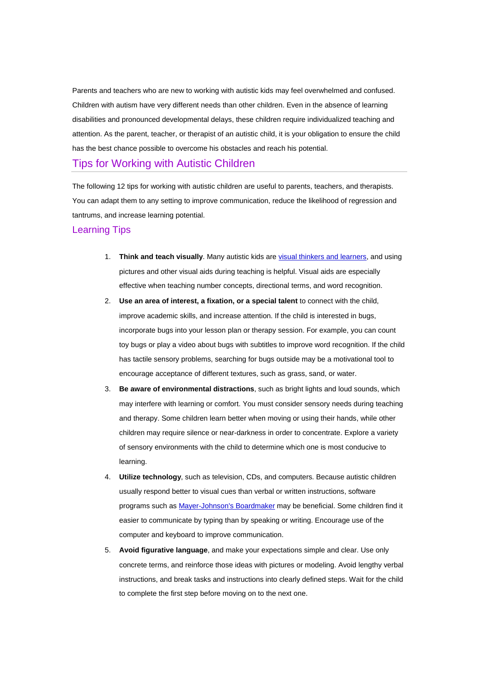Parents and teachers who are new to working with autistic kids may feel overwhelmed and confused. Children with autism have very different needs than other children. Even in the absence of learning disabilities and pronounced developmental delays, these children require individualized teaching and attention. As the parent, teacher, or therapist of an autistic child, it is your obligation to ensure the child has the best chance possible to overcome his obstacles and reach his potential.

## Tips for Working with Autistic Children

The following 12 tips for working with autistic children are useful to parents, teachers, and therapists. You can adapt them to any setting to improve communication, reduce the likelihood of regression and tantrums, and increase learning potential.

## Learning Tips

- 1. **Think and teach visually**. Many autistic kids are visual thinkers and learners, and using pictures and other visual aids during teaching is helpful. Visual aids are especially effective when teaching number concepts, directional terms, and word recognition.
- 2. **Use an area of interest, a fixation, or a special talent** to connect with the child, improve academic skills, and increase attention. If the child is interested in bugs, incorporate bugs into your lesson plan or therapy session. For example, you can count toy bugs or play a video about bugs with subtitles to improve word recognition. If the child has tactile sensory problems, searching for bugs outside may be a motivational tool to encourage acceptance of different textures, such as grass, sand, or water.
- 3. **Be aware of environmental distractions**, such as bright lights and loud sounds, which may interfere with learning or comfort. You must consider sensory needs during teaching and therapy. Some children learn better when moving or using their hands, while other children may require silence or near-darkness in order to concentrate. Explore a variety of sensory environments with the child to determine which one is most conducive to learning.
- 4. **Utilize technology**, such as television, CDs, and computers. Because autistic children usually respond better to visual cues than verbal or written instructions, software programs such as Mayer-Johnson's Boardmaker may be beneficial. Some children find it easier to communicate by typing than by speaking or writing. Encourage use of the computer and keyboard to improve communication.
- 5. **Avoid figurative language**, and make your expectations simple and clear. Use only concrete terms, and reinforce those ideas with pictures or modeling. Avoid lengthy verbal instructions, and break tasks and instructions into clearly defined steps. Wait for the child to complete the first step before moving on to the next one.